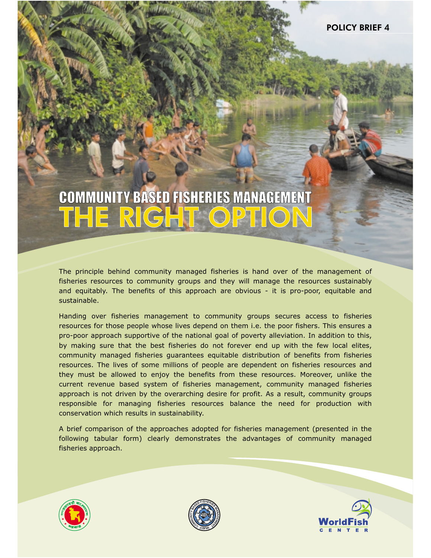# COMMUNITY BASED FISHERIES MANAGEMENT THE RIGHT OPTION

The principle behind community managed fisheries is hand over of the management of fisheries resources to community groups and they will manage the resources sustainably and equitably. The benefits of this approach are obvious - it is pro-poor, equitable and sustainable.

Handing over fisheries management to community groups secures access to fisheries resources for those people whose lives depend on them i.e. the poor fishers. This ensures a pro-poor approach supportive of the national goal of poverty alleviation. In addition to this, by making sure that the best fisheries do not forever end up with the few local elites, community managed fisheries guarantees equitable distribution of benefits from fisheries resources. The lives of some millions of people are dependent on fisheries resources and they must be allowed to enjoy the benefits from these resources. Moreover, unlike the current revenue based system of fisheries management, community managed fisheries approach is not driven by the overarching desire for profit. As a result, community groups responsible for managing fisheries resources balance the need for production with conservation which results in sustainability.

A brief comparison of the approaches adopted for fisheries management (presented in the following tabular form) clearly demonstrates the advantages of community managed fisheries approach.





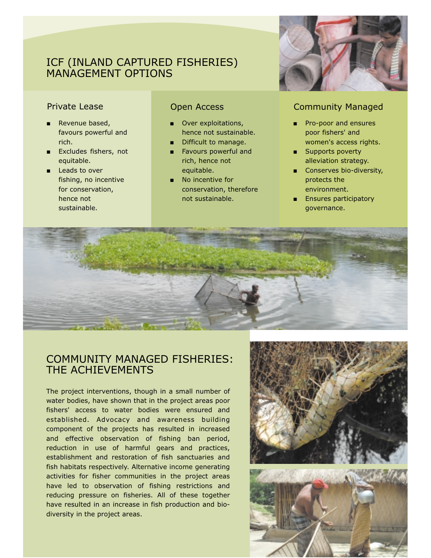# ICF (INLAND CAPTURED FISHERIES) MANAGEMENT OPTIONS

- Ë Revenue based, favours powerful and rich.
- ī Excludes fishers, not equitable.
- **Leads to over** fishing, no incentive for conservation, hence not sustainable.

- **Over exploitations,** hence not sustainable.
- Difficult to manage.
- **Favours powerful and** rich, hence not equitable.
- **No incentive for** conservation, therefore not sustainable.



## **Private Lease Community Managed Community Managed**

- Ė Pro-poor and ensures poor fishers' and women's access rights.
- **Bupports poverty** alleviation strategy.
- **Conserves bio-diversity,** protects the environment.
- **Ensures participatory** governance.



# COMMUNITY MANAGED FISHERIES: THE ACHIEVEMENTS

The project interventions, though in a small number of water bodies, have shown that in the project areas poor fishers' access to water bodies were ensured and established. Advocacy and awareness building component of the projects has resulted in increased and effective observation of fishing ban period, reduction in use of harmful gears and practices, establishment and restoration of fish sanctuaries and fish habitats respectively. Alternative income generating activities for fisher communities in the project areas have led to observation of fishing restrictions and reducing pressure on fisheries. All of these together have resulted in an increase in fish production and biodiversity in the project areas.

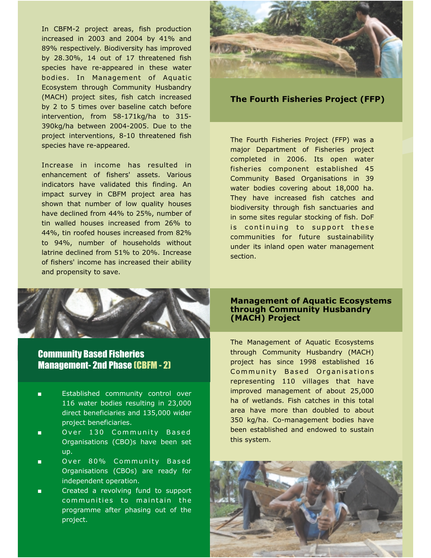In CBFM-2 project areas, fish production increased in 2003 and 2004 by 41% and 89% respectively. Biodiversity has improved by 28.30%, 14 out of 17 threatened fish species have re-appeared in these water bodies. In Management of Aquatic (MACH) project sites, fish catch increased by 2 to 5 times over baseline catch before intervention, from 58-171kg/ha to 315- 390kg/ha between 2004-2005. Due to the project interventions, 8-10 threatened fish species have re-appeared. Ecosystem through Community Husbandry

Increase in income has resulted in enhancement of fishers' assets. Various indicators have validated this finding. An impact survey in CBFM project area has shown that number of low quality houses have declined from 44% to 25%, number of tin walled houses increased from 26% to 44%, tin roofed houses increased from 82% to 94%, number of households without latrine declined from 51% to 20%. Increase of fishers' income has increased their ability and propensity to save.





**The Fourth Fisheries Project (FFP)**

The Fourth Fisheries Project (FFP) was a major Department of Fisheries project completed in 2006. Its open water fisheries component established 45 Community Based Organisations in 39 water bodies covering about 18,000 ha. They have increased fish catches and biodiversity through fish sanctuaries and in some sites regular stocking of fish. DoF is continuing to support these communities for future sustainability under its inland open water management section.

### **Management of Aquatic Ecosystems through Community Husbandry (MACH) Project**

The Management of Aquatic Ecosystems through Community Husbandry (MACH) project has since 1998 established 16 Community Based Organisations representing 110 villages that have improved management of about 25,000 ha of wetlands. Fish catches in this total area have more than doubled to about 350 kg/ha. Co-management bodies have been established and endowed to sustain this system.



# Community Based Fisheries Management- 2nd Phase (CBFM - 2)

- ı Established community control over 116 water bodies resulting in 23,000 direct beneficiaries and 135,000 wider project beneficiaries.
- Ē Over 130 Community Based Organisations (CBO)s have been set up.
- L Over 80% Community Based Organisations (CBOs) are ready for independent operation.
- L Created a revolving fund to support communities to maintain the programme after phasing out of the project.